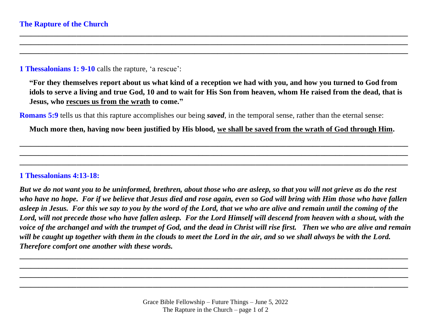## **1 Thessalonians 1: 9-10** calls the rapture, 'a rescue':

**"For they themselves report about us what kind of a reception we had with you, and how you turned to God from idols to serve a living and true God, 10 and to wait for His Son from heaven, whom He raised from the dead, that is Jesus, who rescues us from the wrath to come."** 

**\_\_\_\_\_\_\_\_\_\_\_\_\_\_\_\_\_\_\_\_\_\_\_\_\_\_\_\_\_\_\_\_\_\_\_\_\_\_\_\_\_\_\_\_\_\_\_\_\_\_\_\_\_\_\_\_\_\_\_\_\_\_\_\_\_\_\_\_\_\_\_\_\_\_\_\_\_\_\_\_\_\_\_\_\_\_\_\_\_\_\_\_\_\_\_\_\_\_\_\_\_\_ \_\_\_\_\_\_\_\_\_\_\_\_\_\_\_\_\_\_\_\_\_\_\_\_\_\_\_\_\_\_\_\_\_\_\_\_\_\_\_\_\_\_\_\_\_\_\_\_\_\_\_\_\_\_\_\_\_\_\_\_\_\_\_\_\_\_\_\_\_\_\_\_\_\_\_\_\_\_\_\_\_\_\_\_\_\_\_\_\_\_\_\_\_\_\_\_\_\_\_\_\_\_ \_\_\_\_\_\_\_\_\_\_\_\_\_\_\_\_\_\_\_\_\_\_\_\_\_\_\_\_\_\_\_\_\_\_\_\_\_\_\_\_\_\_\_\_\_\_\_\_\_\_\_\_\_\_\_\_\_\_\_\_\_\_\_\_\_\_\_\_\_\_\_\_\_\_\_\_\_\_\_\_\_\_\_\_\_\_\_\_\_\_\_\_\_\_\_\_\_\_\_\_\_\_**

**Romans 5:9** tells us that this rapture accomplishes our being *saved*, in the temporal sense, rather than the eternal sense:

**Much more then, having now been justified by His blood, we shall be saved from the wrath of God through Him.**

**\_\_\_\_\_\_\_\_\_\_\_\_\_\_\_\_\_\_\_\_\_\_\_\_\_\_\_\_\_\_\_\_\_\_\_\_\_\_\_\_\_\_\_\_\_\_\_\_\_\_\_\_\_\_\_\_\_\_\_\_\_\_\_\_\_\_\_\_\_\_\_\_\_\_\_\_\_\_\_\_\_\_\_\_\_\_\_\_\_\_\_\_\_\_\_\_\_\_\_\_\_\_ \_\_\_\_\_\_\_\_\_\_\_\_\_\_\_\_\_\_\_\_\_\_\_\_\_\_\_\_\_\_\_\_\_\_\_\_\_\_\_\_\_\_\_\_\_\_\_\_\_\_\_\_\_\_\_\_\_\_\_\_\_\_\_\_\_\_\_\_\_\_\_\_\_\_\_\_\_\_\_\_\_\_\_\_\_\_\_\_\_\_\_\_\_\_\_\_\_\_\_\_\_\_ \_\_\_\_\_\_\_\_\_\_\_\_\_\_\_\_\_\_\_\_\_\_\_\_\_\_\_\_\_\_\_\_\_\_\_\_\_\_\_\_\_\_\_\_\_\_\_\_\_\_\_\_\_\_\_\_\_\_\_\_\_\_\_\_\_\_\_\_\_\_\_\_\_\_\_\_\_\_\_\_\_\_\_\_\_\_\_\_\_\_\_\_\_\_\_\_\_\_\_\_\_\_**

## **1 Thessalonians 4:13-18:**

*But we do not want you to be uninformed, brethren, about those who are asleep, so that you will not grieve as do the rest who have no hope. For if we believe that Jesus died and rose again, even so God will bring with Him those who have fallen asleep in Jesus. For this we say to you by the word of the Lord, that we who are alive and remain until the coming of the Lord, will not precede those who have fallen asleep. For the Lord Himself will descend from heaven with a shout, with the voice of the archangel and with the trumpet of God, and the dead in Christ will rise first. Then we who are alive and remain will be caught up together with them in the clouds to meet the Lord in the air, and so we shall always be with the Lord. Therefore comfort one another with these words.* 

**\_\_\_\_\_\_\_\_\_\_\_\_\_\_\_\_\_\_\_\_\_\_\_\_\_\_\_\_\_\_\_\_\_\_\_\_\_\_\_\_\_\_\_\_\_\_\_\_\_\_\_\_\_\_\_\_\_\_\_\_\_\_\_\_\_\_\_\_\_\_\_\_\_\_\_\_\_\_\_\_\_\_\_\_\_\_\_\_\_\_\_\_\_\_\_\_\_\_\_\_\_\_ \_\_\_\_\_\_\_\_\_\_\_\_\_\_\_\_\_\_\_\_\_\_\_\_\_\_\_\_\_\_\_\_\_\_\_\_\_\_\_\_\_\_\_\_\_\_\_\_\_\_\_\_\_\_\_\_\_\_\_\_\_\_\_\_\_\_\_\_\_\_\_\_\_\_\_\_\_\_\_\_\_\_\_\_\_\_\_\_\_\_\_\_\_\_\_\_\_\_\_\_\_\_ \_\_\_\_\_\_\_\_\_\_\_\_\_\_\_\_\_\_\_\_\_\_\_\_\_\_\_\_\_\_\_\_\_\_\_\_\_\_\_\_\_\_\_\_\_\_\_\_\_\_\_\_\_\_\_\_\_\_\_\_\_\_\_\_\_\_\_\_\_\_\_\_\_\_\_\_\_\_\_\_\_\_\_\_\_\_\_\_\_\_\_\_\_\_\_\_\_\_\_\_\_\_ \_\_\_\_\_\_\_\_\_\_\_\_\_\_\_\_\_\_\_\_\_\_\_\_\_\_\_\_\_\_\_\_\_\_\_\_\_\_\_\_\_\_\_\_\_\_\_\_\_\_\_\_\_\_\_\_\_\_\_\_\_\_\_\_\_\_\_\_\_\_\_\_\_\_\_\_\_\_\_\_\_\_\_\_\_\_\_\_\_\_\_\_\_\_\_\_\_\_\_\_\_\_**